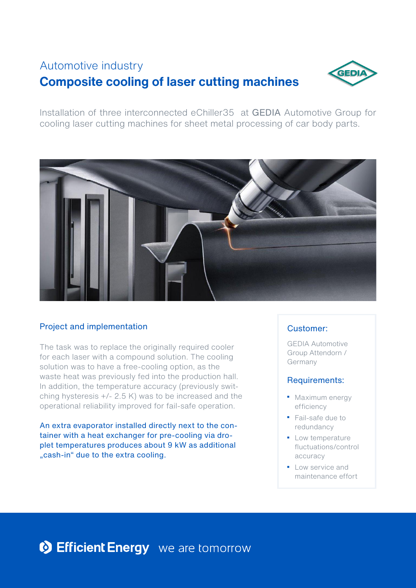# **Composite cooling of laser cutting machines** Automotive industry



Installation of three interconnected eChiller35 at GEDIA Automotive Group for cooling laser cutting machines for sheet metal processing of car body parts.



## Project and implementation

The task was to replace the originally required cooler for each laser with a compound solution. The cooling solution was to have a free-cooling option, as the waste heat was previously fed into the production hall. In addition, the temperature accuracy (previously switching hysteresis +/- 2.5 K) was to be increased and the operational reliability improved for fail-safe operation.

An extra evaporator installed directly next to the container with a heat exchanger for pre-cooling via droplet temperatures produces about 9 kW as additional .cash-in" due to the extra cooling.

## Customer:

GEDIA Automotive Group Attendorn / Germany

#### Requirements:

- Maximum energy efficiency
- Fail-safe due to redundancy
- Low temperature fluctuations/control accuracy
- Low service and maintenance effort